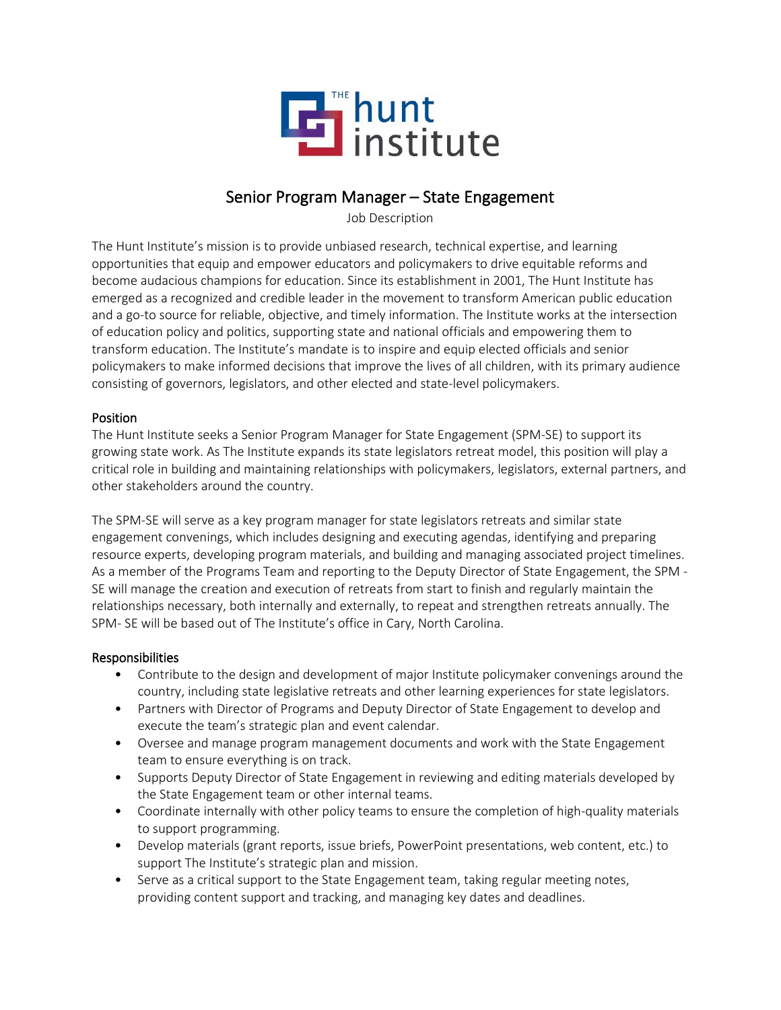

# Senior Program Manager – State Engagement

Job Description

The Hunt Institute's mission is to provide unbiased research, technical expertise, and learning opportunities that equip and empower educators and policymakers to drive equitable reforms and become audacious champions for education. Since its establishment in 2001, The Hunt Institute has emerged as a recognized and credible leader in the movement to transform American public education and a go-to source for reliable, objective, and timely information. The Institute works at the intersection of education policy and politics, supporting state and national officials and empowering them to transform education. The Institute's mandate is to inspire and equip elected officials and senior policymakers to make informed decisions that improve the lives of all children, with its primary audience consisting of governors, legislators, and other elected and state-level policymakers.

### Position

The Hunt Institute seeks a Senior Program Manager for State Engagement (SPM-SE) to support its growing state work. As The Institute expands its state legislators retreat model, this position will play a critical role in building and maintaining relationships with policymakers, legislators, external partners, and other stakeholders around the country.

The SPM-SE will serve as a key program manager for state legislators retreats and similar state engagement convenings, which includes designing and executing agendas, identifying and preparing resource experts, developing program materials, and building and managing associated project timelines. As a member of the Programs Team and reporting to the Deputy Director of State Engagement, the SPM - SE will manage the creation and execution of retreats from start to finish and regularly maintain the relationships necessary, both internally and externally, to repeat and strengthen retreats annually. The SPM- SE will be based out of The Institute's office in Cary, North Carolina.

### Responsibilities

- Contribute to the design and development of major Institute policymaker convenings around the country, including state legislative retreats and other learning experiences for state legislators.
- Partners with Director of Programs and Deputy Director of State Engagement to develop and execute the team's strategic plan and event calendar.
- Oversee and manage program management documents and work with the State Engagement team to ensure everything is on track.
- Supports Deputy Director of State Engagement in reviewing and editing materials developed by the State Engagement team or other internal teams.
- Coordinate internally with other policy teams to ensure the completion of high-quality materials to support programming.
- Develop materials (grant reports, issue briefs, PowerPoint presentations, web content, etc.) to support The Institute's strategic plan and mission.
- Serve as a critical support to the State Engagement team, taking regular meeting notes, providing content support and tracking, and managing key dates and deadlines.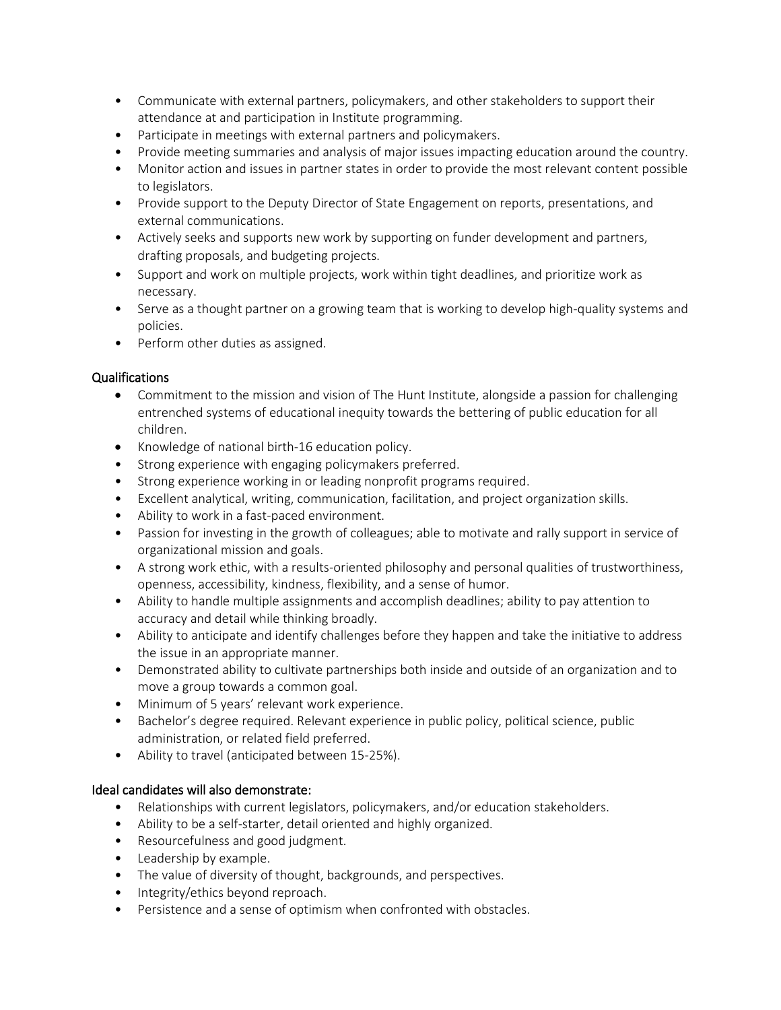- Communicate with external partners, policymakers, and other stakeholders to support their attendance at and participation in Institute programming.
- Participate in meetings with external partners and policymakers.
- Provide meeting summaries and analysis of major issues impacting education around the country.
- Monitor action and issues in partner states in order to provide the most relevant content possible to legislators.
- Provide support to the Deputy Director of State Engagement on reports, presentations, and external communications.
- Actively seeks and supports new work by supporting on funder development and partners, drafting proposals, and budgeting projects.
- Support and work on multiple projects, work within tight deadlines, and prioritize work as necessary.
- Serve as a thought partner on a growing team that is working to develop high-quality systems and policies.
- Perform other duties as assigned.

# Qualifications

- Commitment to the mission and vision of The Hunt Institute, alongside a passion for challenging entrenched systems of educational inequity towards the bettering of public education for all children.
- Knowledge of national birth-16 education policy.
- Strong experience with engaging policymakers preferred.
- Strong experience working in or leading nonprofit programs required.
- Excellent analytical, writing, communication, facilitation, and project organization skills.
- Ability to work in a fast-paced environment.
- Passion for investing in the growth of colleagues; able to motivate and rally support in service of organizational mission and goals.
- A strong work ethic, with a results-oriented philosophy and personal qualities of trustworthiness, openness, accessibility, kindness, flexibility, and a sense of humor.
- Ability to handle multiple assignments and accomplish deadlines; ability to pay attention to accuracy and detail while thinking broadly.
- Ability to anticipate and identify challenges before they happen and take the initiative to address the issue in an appropriate manner.
- Demonstrated ability to cultivate partnerships both inside and outside of an organization and to move a group towards a common goal.
- Minimum of 5 years' relevant work experience.
- Bachelor's degree required. Relevant experience in public policy, political science, public administration, or related field preferred.
- Ability to travel (anticipated between 15-25%).

# Ideal candidates will also demonstrate:

- Relationships with current legislators, policymakers, and/or education stakeholders.
- Ability to be a self-starter, detail oriented and highly organized.
- Resourcefulness and good judgment.
- Leadership by example.
- The value of diversity of thought, backgrounds, and perspectives.
- Integrity/ethics beyond reproach.
- Persistence and a sense of optimism when confronted with obstacles.